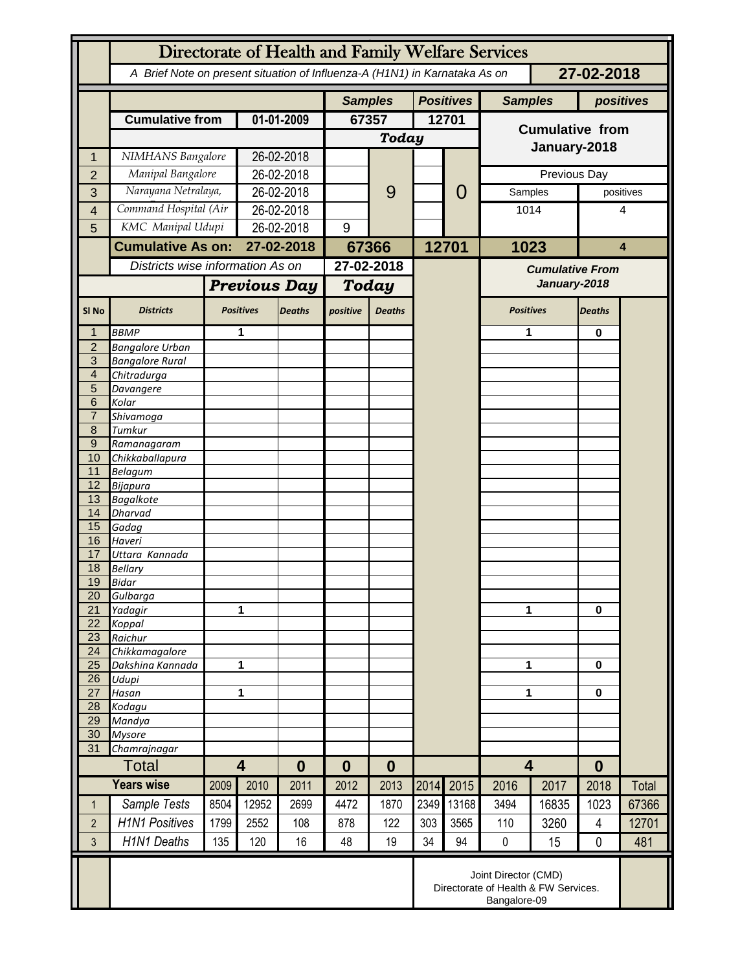|                     | Directorate of Health and Family Welfare Services                                        |                  |                                     |                |              |               |                  |                |                         |       |                |           |
|---------------------|------------------------------------------------------------------------------------------|------------------|-------------------------------------|----------------|--------------|---------------|------------------|----------------|-------------------------|-------|----------------|-----------|
|                     | A Brief Note on present situation of Influenza-A (H1N1) in Karnataka As on<br>27-02-2018 |                  |                                     |                |              |               |                  |                |                         |       |                |           |
|                     |                                                                                          |                  |                                     | <b>Samples</b> |              |               | <b>Positives</b> | <b>Samples</b> |                         |       | positives      |           |
|                     | <b>Cumulative from</b>                                                                   |                  | 01-01-2009                          |                | 67357        |               | 12701            |                | <b>Cumulative from</b>  |       |                |           |
|                     |                                                                                          |                  |                                     |                | <b>Today</b> |               |                  |                |                         |       |                |           |
| 1                   | NIMHANS Bangalore                                                                        |                  | 26-02-2018                          |                |              |               |                  |                | January-2018            |       |                |           |
| $\overline{2}$      | Manipal Bangalore                                                                        |                  | 26-02-2018                          |                |              |               |                  |                | Previous Day            |       |                |           |
| 3                   | Narayana Netralaya,                                                                      |                  | 26-02-2018                          |                |              | 9             |                  | 0              | Samples                 |       |                | positives |
| 4                   | Command Hospital (Air                                                                    |                  | 26-02-2018                          |                |              |               |                  |                | 1014                    |       | 4              |           |
| 5                   | KMC Manipal Udupi                                                                        |                  | 26-02-2018                          |                | 9            |               |                  |                |                         |       |                |           |
|                     | <b>Cumulative As on:</b>                                                                 |                  | 27-02-2018                          |                | 67366        |               |                  | 12701          | 1023                    |       | 4              |           |
|                     | Districts wise information As on                                                         |                  |                                     |                | 27-02-2018   |               |                  |                | <b>Cumulative From</b>  |       |                |           |
|                     |                                                                                          |                  | <b>Previous Day</b>                 |                | <b>Today</b> |               |                  |                | January-2018            |       |                |           |
|                     |                                                                                          | <b>Positives</b> |                                     |                |              |               |                  |                |                         |       |                |           |
| SI <sub>No</sub>    | <b>Districts</b>                                                                         |                  |                                     | <b>Deaths</b>  | positive     | <b>Deaths</b> |                  |                | <b>Positives</b>        |       | <b>Deaths</b>  |           |
| 1                   | <b>BBMP</b>                                                                              |                  | 1                                   |                |              |               |                  |                | 1                       |       | 0              |           |
| $\overline{2}$<br>3 | <b>Bangalore Urban</b><br><b>Bangalore Rural</b>                                         |                  |                                     |                |              |               |                  |                |                         |       |                |           |
| $\overline{4}$      | Chitradurga                                                                              |                  |                                     |                |              |               |                  |                |                         |       |                |           |
| 5                   | Davangere                                                                                |                  |                                     |                |              |               |                  |                |                         |       |                |           |
| 6                   | Kolar                                                                                    |                  |                                     |                |              |               |                  |                |                         |       |                |           |
| $\overline{7}$      | Shivamoga                                                                                |                  |                                     |                |              |               |                  |                |                         |       |                |           |
| 8                   | Tumkur                                                                                   |                  |                                     |                |              |               |                  |                |                         |       |                |           |
| $9\,$<br>10         | Ramanagaram<br>Chikkaballapura                                                           |                  |                                     |                |              |               |                  |                |                         |       |                |           |
| 11                  | <b>Belagum</b>                                                                           |                  |                                     |                |              |               |                  |                |                         |       |                |           |
| 12                  | Bijapura                                                                                 |                  |                                     |                |              |               |                  |                |                         |       |                |           |
| 13                  | <b>Bagalkote</b>                                                                         |                  |                                     |                |              |               |                  |                |                         |       |                |           |
| 14                  | Dharvad                                                                                  |                  |                                     |                |              |               |                  |                |                         |       |                |           |
| 15<br>16            | Gadag<br>Haveri                                                                          |                  |                                     |                |              |               |                  |                |                         |       |                |           |
| 17                  | Uttara Kannada                                                                           |                  |                                     |                |              |               |                  |                |                         |       |                |           |
| 18                  | <b>Bellary</b>                                                                           |                  |                                     |                |              |               |                  |                |                         |       |                |           |
| 19                  | Bidar                                                                                    |                  |                                     |                |              |               |                  |                |                         |       |                |           |
| 20                  | Gulbarga                                                                                 |                  |                                     |                |              |               |                  |                | 1                       |       |                |           |
| 21<br>22            | Yadagir<br>Koppal                                                                        |                  | 1                                   |                |              |               |                  |                |                         |       | $\bf{0}$       |           |
| 23                  | Raichur                                                                                  |                  |                                     |                |              |               |                  |                |                         |       |                |           |
| 24                  | Chikkamagalore                                                                           |                  |                                     |                |              |               |                  |                |                         |       |                |           |
| 25                  | Dakshina Kannada                                                                         | 1                |                                     |                |              |               |                  |                |                         | 1     |                |           |
| 26                  | Udupi                                                                                    |                  |                                     |                |              |               |                  |                |                         |       |                |           |
| 27<br>28            | Hasan<br>Kodagu                                                                          | 1                |                                     |                |              |               |                  |                | 1                       |       | 0              |           |
| 29                  | Mandya                                                                                   |                  |                                     |                |              |               |                  |                |                         |       |                |           |
| 30                  | <b>Mysore</b>                                                                            |                  |                                     |                |              |               |                  |                |                         |       |                |           |
| 31                  | Chamrajnagar                                                                             |                  |                                     |                |              |               |                  |                |                         |       |                |           |
|                     | <b>Total</b>                                                                             |                  | $\overline{\mathbf{4}}$<br>$\bf{0}$ |                | 0            | $\bf{0}$      |                  |                | $\overline{\mathbf{4}}$ |       | $\bf{0}$       |           |
|                     | <b>Years wise</b>                                                                        | 2009             | 2010                                | 2011           | 2012         | 2013          | 2014             | 2015           | 2016                    | 2017  | 2018           | Total     |
| $\mathbf{1}$        | Sample Tests                                                                             | 8504             | 12952                               | 2699           | 4472         | 1870          | 2349             | 13168          | 3494                    | 16835 | 1023           | 67366     |
| $\overline{2}$      | <b>H1N1 Positives</b>                                                                    | 1799             | 2552                                | 108            | 878          | 122           | 303              | 3565           | 110                     | 3260  | $\overline{4}$ | 12701     |
| $\overline{3}$      | <b>H1N1 Deaths</b>                                                                       | 135              | 120                                 | 16             | 48           | 19            | 34               | 94             | $\pmb{0}$               | 15    | 0              | 481       |
|                     | Joint Director (CMD)<br>Directorate of Health & FW Services.<br>Bangalore-09             |                  |                                     |                |              |               |                  |                |                         |       |                |           |